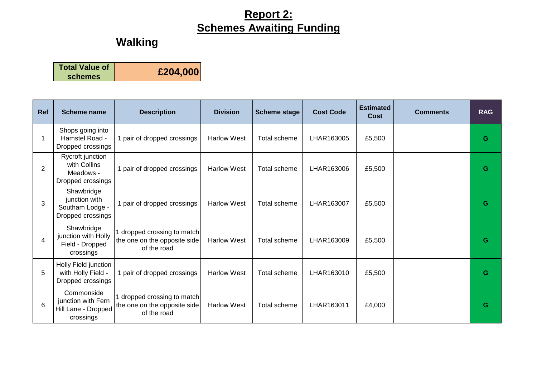# **Walking**

| <b>Total Value of</b> | £204,000 |
|-----------------------|----------|
| schemes               |          |

| Ref            | <b>Scheme name</b>                                                   | <b>Description</b>                                                         | <b>Division</b>    | <b>Scheme stage</b> | <b>Cost Code</b> | <b>Estimated</b><br><b>Cost</b> | <b>Comments</b> | <b>RAG</b> |
|----------------|----------------------------------------------------------------------|----------------------------------------------------------------------------|--------------------|---------------------|------------------|---------------------------------|-----------------|------------|
| 1              | Shops going into<br>Hamstel Road -<br>Dropped crossings              | 1 pair of dropped crossings                                                | <b>Harlow West</b> | Total scheme        | LHAR163005       | £5,500                          |                 | G          |
| $\overline{2}$ | Rycroft junction<br>with Collins<br>Meadows -<br>Dropped crossings   | 1 pair of dropped crossings                                                | <b>Harlow West</b> | <b>Total scheme</b> | LHAR163006       | £5,500                          |                 | G          |
| 3              | Shawbridge<br>junction with<br>Southam Lodge -<br>Dropped crossings  | 1 pair of dropped crossings                                                | <b>Harlow West</b> | <b>Total scheme</b> | LHAR163007       | £5,500                          |                 | G          |
| $\overline{4}$ | Shawbridge<br>junction with Holly<br>Field - Dropped<br>crossings    | 1 dropped crossing to match<br>the one on the opposite side<br>of the road | <b>Harlow West</b> | Total scheme        | LHAR163009       | £5,500                          |                 | G          |
| 5              | Holly Field junction<br>with Holly Field -<br>Dropped crossings      | 1 pair of dropped crossings                                                | <b>Harlow West</b> | <b>Total scheme</b> | LHAR163010       | £5,500                          |                 | G          |
| 6              | Commonside<br>junction with Fern<br>Hill Lane - Dropped<br>crossings | dropped crossing to match<br>the one on the opposite side<br>of the road   | <b>Harlow West</b> | <b>Total scheme</b> | LHAR163011       | £4,000                          |                 | G          |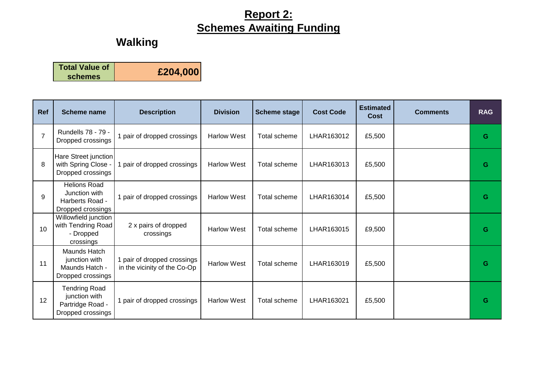# **Walking**

| <b>Total Value of</b> | £204,000 |
|-----------------------|----------|
| schemes               |          |

| Ref            | <b>Scheme name</b>                                                             | <b>Description</b>                                          | <b>Division</b>    | <b>Scheme stage</b> | <b>Cost Code</b> | <b>Estimated</b><br>Cost | <b>Comments</b> | <b>RAG</b> |
|----------------|--------------------------------------------------------------------------------|-------------------------------------------------------------|--------------------|---------------------|------------------|--------------------------|-----------------|------------|
| $\overline{7}$ | Rundells 78 - 79 -<br>Dropped crossings                                        | 1 pair of dropped crossings                                 | <b>Harlow West</b> | Total scheme        | LHAR163012       | £5,500                   |                 | G          |
| 8              | Hare Street junction<br>with Spring Close -<br>Dropped crossings               | 1 pair of dropped crossings                                 | <b>Harlow West</b> | <b>Total scheme</b> | LHAR163013       | £5,500                   |                 | G          |
| 9              | <b>Helions Road</b><br>Junction with<br>Harberts Road -<br>Dropped crossings   | 1 pair of dropped crossings                                 | <b>Harlow West</b> | Total scheme        | LHAR163014       | £5,500                   |                 | G          |
| 10             | Willowfield junction<br>with Tendring Road<br>- Dropped<br>crossings           | 2 x pairs of dropped<br>crossings                           | <b>Harlow West</b> | Total scheme        | LHAR163015       | £9,500                   |                 | G          |
| 11             | Maunds Hatch<br>junction with<br>Maunds Hatch -<br>Dropped crossings           | 1 pair of dropped crossings<br>in the vicinity of the Co-Op | <b>Harlow West</b> | <b>Total scheme</b> | LHAR163019       | £5,500                   |                 | G          |
| 12             | <b>Tendring Road</b><br>junction with<br>Partridge Road -<br>Dropped crossings | 1 pair of dropped crossings                                 | <b>Harlow West</b> | <b>Total scheme</b> | LHAR163021       | £5,500                   |                 | G          |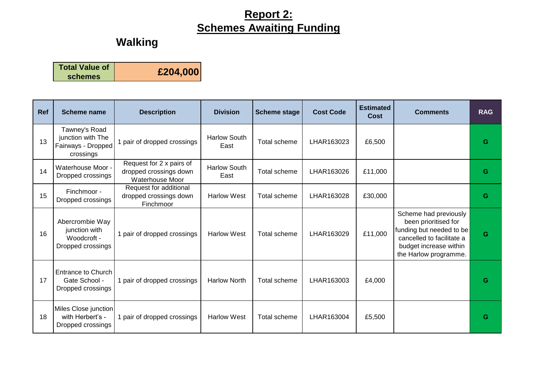#### **Walking**

**Total Value of schemes £204,000**

**Ref Scheme name Description Division Scheme stage Cost Code Estimated Cost Comments RAG** 13 Tawney's Road junction with The Fairways - Dropped crossings 1 pair of dropped crossings | Harlow South East Total scheme LHAR163023 £6,500 **<sup>G</sup>** 14 Waterhouse Moor Dropped crossings Request for 2 x pairs of dropped crossings down Waterhouse Moor Harlow South East Total scheme LHAR163026 £11,000 **<sup>G</sup>** 15 Finchmoor -Dropped crossings Request for additional dropped crossings down Finchmoor Harlow West Total scheme LHAR163028 £30,000 **G** 16 Abercrombie Way junction with Woodcroft - Dropped crossings 1 pair of dropped crossings | Harlow West | Total scheme | LHAR163029 | £11,000 Scheme had previously been prioritised for funding but needed to be cancelled to facilitate a budget increase within the Harlow programme. **G** 17 Entrance to Church Gate School - Dropped crossings 1 pair of dropped crossings | Harlow North | Total scheme | LHAR163003 | £4,000 | **G** 18 Miles Close junction with Herbert's -Dropped crossings 1 pair of dropped crossings Harlow West Total scheme LHAR163004 £5,500 **G**